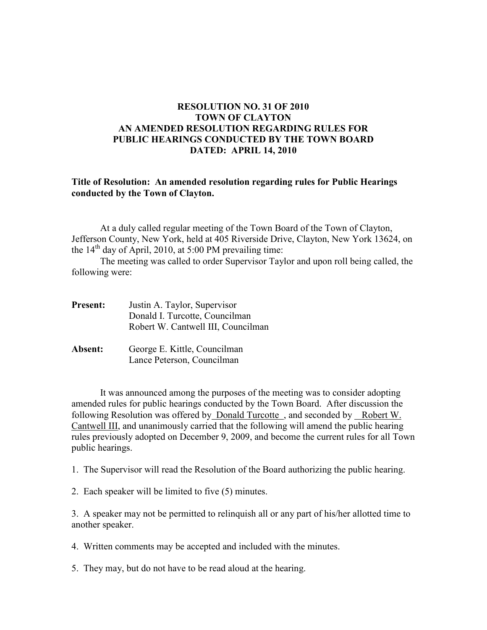## **RESOLUTION NO. 31 OF 2010 TOWN OF CLAYTON AN AMENDED RESOLUTION REGARDING RULES FOR PUBLIC HEARINGS CONDUCTED BY THE TOWN BOARD DATED: APRIL 14, 2010**

## **Title of Resolution: An amended resolution regarding rules for Public Hearings conducted by the Town of Clayton.**

At a duly called regular meeting of the Town Board of the Town of Clayton, Jefferson County, New York, held at 405 Riverside Drive, Clayton, New York 13624, on the  $14<sup>th</sup>$  day of April, 2010, at 5:00 PM prevailing time:

The meeting was called to order Supervisor Taylor and upon roll being called, the following were:

| <b>Present:</b> | Justin A. Taylor, Supervisor<br>Donald I. Turcotte, Councilman<br>Robert W. Cantwell III, Councilman |
|-----------------|------------------------------------------------------------------------------------------------------|
| Absent:         | George E. Kittle, Councilman<br>Lance Peterson, Councilman                                           |

It was announced among the purposes of the meeting was to consider adopting amended rules for public hearings conducted by the Town Board. After discussion the following Resolution was offered by Donald Turcotte , and seconded by Robert W. Cantwell III, and unanimously carried that the following will amend the public hearing rules previously adopted on December 9, 2009, and become the current rules for all Town public hearings.

1. The Supervisor will read the Resolution of the Board authorizing the public hearing.

2. Each speaker will be limited to five (5) minutes.

3. A speaker may not be permitted to relinquish all or any part of his/her allotted time to another speaker.

4. Written comments may be accepted and included with the minutes.

5. They may, but do not have to be read aloud at the hearing.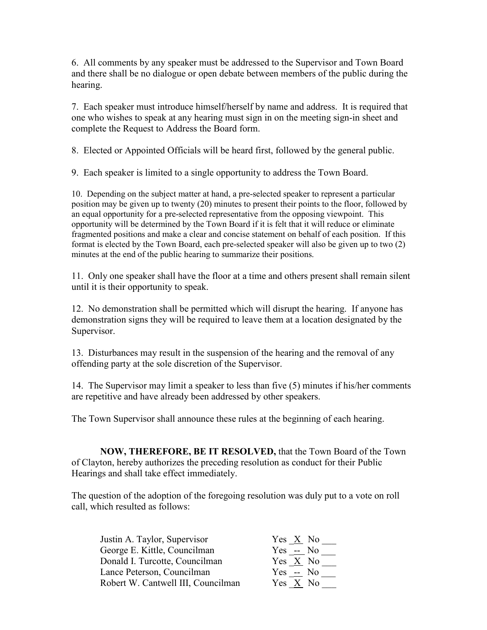6. All comments by any speaker must be addressed to the Supervisor and Town Board and there shall be no dialogue or open debate between members of the public during the hearing.

7. Each speaker must introduce himself/herself by name and address. It is required that one who wishes to speak at any hearing must sign in on the meeting sign-in sheet and complete the Request to Address the Board form.

8. Elected or Appointed Officials will be heard first, followed by the general public.

9. Each speaker is limited to a single opportunity to address the Town Board.

10. Depending on the subject matter at hand, a pre-selected speaker to represent a particular position may be given up to twenty (20) minutes to present their points to the floor, followed by an equal opportunity for a pre-selected representative from the opposing viewpoint. This opportunity will be determined by the Town Board if it is felt that it will reduce or eliminate fragmented positions and make a clear and concise statement on behalf of each position. If this format is elected by the Town Board, each pre-selected speaker will also be given up to two (2) minutes at the end of the public hearing to summarize their positions.

11. Only one speaker shall have the floor at a time and others present shall remain silent until it is their opportunity to speak.

12. No demonstration shall be permitted which will disrupt the hearing. If anyone has demonstration signs they will be required to leave them at a location designated by the Supervisor.

13. Disturbances may result in the suspension of the hearing and the removal of any offending party at the sole discretion of the Supervisor.

14. The Supervisor may limit a speaker to less than five (5) minutes if his/her comments are repetitive and have already been addressed by other speakers.

The Town Supervisor shall announce these rules at the beginning of each hearing.

**NOW, THEREFORE, BE IT RESOLVED,** that the Town Board of the Town of Clayton, hereby authorizes the preceding resolution as conduct for their Public Hearings and shall take effect immediately.

The question of the adoption of the foregoing resolution was duly put to a vote on roll call, which resulted as follows:

| Justin A. Taylor, Supervisor       | Yes X No             |
|------------------------------------|----------------------|
| George E. Kittle, Councilman       | $Yes - No$           |
| Donald I. Turcotte, Councilman     | Yes $X$ No           |
| Lance Peterson, Councilman         | Yes $\frac{1}{2}$ No |
| Robert W. Cantwell III, Councilman | Yes X No             |